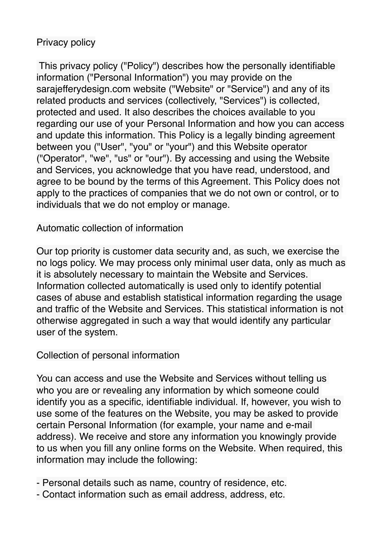# Privacy policy

 This privacy policy ("Policy") describes how the personally identifiable information ("Personal Information") you may provide on the sarajefferydesign.com website ("Website" or "Service") and any of its related products and services (collectively, "Services") is collected, protected and used. It also describes the choices available to you regarding our use of your Personal Information and how you can access and update this information. This Policy is a legally binding agreement between you ("User", "you" or "your") and this Website operator ("Operator", "we", "us" or "our"). By accessing and using the Website and Services, you acknowledge that you have read, understood, and agree to be bound by the terms of this Agreement. This Policy does not apply to the practices of companies that we do not own or control, or to individuals that we do not employ or manage.

### Automatic collection of information

Our top priority is customer data security and, as such, we exercise the no logs policy. We may process only minimal user data, only as much as it is absolutely necessary to maintain the Website and Services. Information collected automatically is used only to identify potential cases of abuse and establish statistical information regarding the usage and traffic of the Website and Services. This statistical information is not otherwise aggregated in such a way that would identify any particular user of the system.

### Collection of personal information

You can access and use the Website and Services without telling us who you are or revealing any information by which someone could identify you as a specific, identifiable individual. If, however, you wish to use some of the features on the Website, you may be asked to provide certain Personal Information (for example, your name and e-mail address). We receive and store any information you knowingly provide to us when you fill any online forms on the Website. When required, this information may include the following:

- Personal details such as name, country of residence, etc.
- Contact information such as email address, address, etc.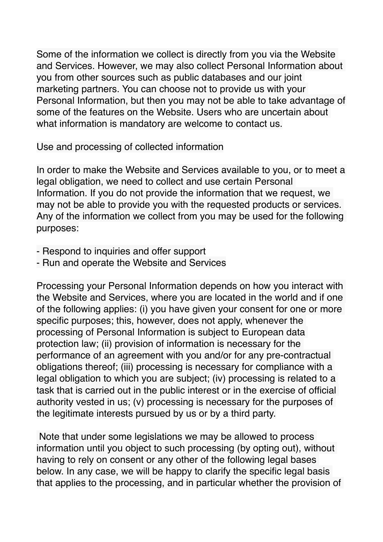Some of the information we collect is directly from you via the Website and Services. However, we may also collect Personal Information about you from other sources such as public databases and our joint marketing partners. You can choose not to provide us with your Personal Information, but then you may not be able to take advantage of some of the features on the Website. Users who are uncertain about what information is mandatory are welcome to contact us.

Use and processing of collected information

In order to make the Website and Services available to you, or to meet a legal obligation, we need to collect and use certain Personal Information. If you do not provide the information that we request, we may not be able to provide you with the requested products or services. Any of the information we collect from you may be used for the following purposes:

- Respond to inquiries and offer support
- Run and operate the Website and Services

Processing your Personal Information depends on how you interact with the Website and Services, where you are located in the world and if one of the following applies: (i) you have given your consent for one or more specific purposes; this, however, does not apply, whenever the processing of Personal Information is subject to European data protection law; (ii) provision of information is necessary for the performance of an agreement with you and/or for any pre-contractual obligations thereof; (iii) processing is necessary for compliance with a legal obligation to which you are subject; (iv) processing is related to a task that is carried out in the public interest or in the exercise of official authority vested in us; (v) processing is necessary for the purposes of the legitimate interests pursued by us or by a third party.

 Note that under some legislations we may be allowed to process information until you object to such processing (by opting out), without having to rely on consent or any other of the following legal bases below. In any case, we will be happy to clarify the specific legal basis that applies to the processing, and in particular whether the provision of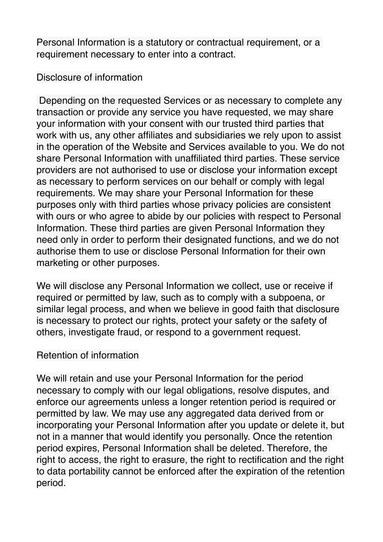Personal Information is a statutory or contractual requirement, or a requirement necessary to enter into a contract.

### Disclosure of information

 Depending on the requested Services or as necessary to complete any transaction or provide any service you have requested, we may share your information with your consent with our trusted third parties that work with us, any other affiliates and subsidiaries we rely upon to assist in the operation of the Website and Services available to you. We do not share Personal Information with unaffiliated third parties. These service providers are not authorised to use or disclose your information except as necessary to perform services on our behalf or comply with legal requirements. We may share your Personal Information for these purposes only with third parties whose privacy policies are consistent with ours or who agree to abide by our policies with respect to Personal Information. These third parties are given Personal Information they need only in order to perform their designated functions, and we do not authorise them to use or disclose Personal Information for their own marketing or other purposes.

We will disclose any Personal Information we collect, use or receive if required or permitted by law, such as to comply with a subpoena, or similar legal process, and when we believe in good faith that disclosure is necessary to protect our rights, protect your safety or the safety of others, investigate fraud, or respond to a government request.

## Retention of information

We will retain and use your Personal Information for the period necessary to comply with our legal obligations, resolve disputes, and enforce our agreements unless a longer retention period is required or permitted by law. We may use any aggregated data derived from or incorporating your Personal Information after you update or delete it, but not in a manner that would identify you personally. Once the retention period expires, Personal Information shall be deleted. Therefore, the right to access, the right to erasure, the right to rectification and the right to data portability cannot be enforced after the expiration of the retention period.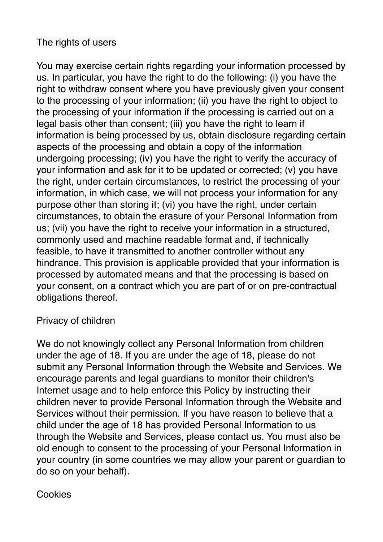# The rights of users

You may exercise certain rights regarding your information processed by us. In particular, you have the right to do the following: (i) you have the right to withdraw consent where you have previously given your consent to the processing of your information; (ii) you have the right to object to the processing of your information if the processing is carried out on a legal basis other than consent; (iii) you have the right to learn if information is being processed by us, obtain disclosure regarding certain aspects of the processing and obtain a copy of the information undergoing processing; (iv) you have the right to verify the accuracy of your information and ask for it to be updated or corrected; (v) you have the right, under certain circumstances, to restrict the processing of your information, in which case, we will not process your information for any purpose other than storing it; (vi) you have the right, under certain circumstances, to obtain the erasure of your Personal Information from us; (vii) you have the right to receive your information in a structured, commonly used and machine readable format and, if technically feasible, to have it transmitted to another controller without any hindrance. This provision is applicable provided that your information is processed by automated means and that the processing is based on your consent, on a contract which you are part of or on pre-contractual obligations thereof.

### Privacy of children

We do not knowingly collect any Personal Information from children under the age of 18. If you are under the age of 18, please do not submit any Personal Information through the Website and Services. We encourage parents and legal guardians to monitor their children's Internet usage and to help enforce this Policy by instructing their children never to provide Personal Information through the Website and Services without their permission. If you have reason to believe that a child under the age of 18 has provided Personal Information to us through the Website and Services, please contact us. You must also be old enough to consent to the processing of your Personal Information in your country (in some countries we may allow your parent or guardian to do so on your behalf).

#### **Cookies**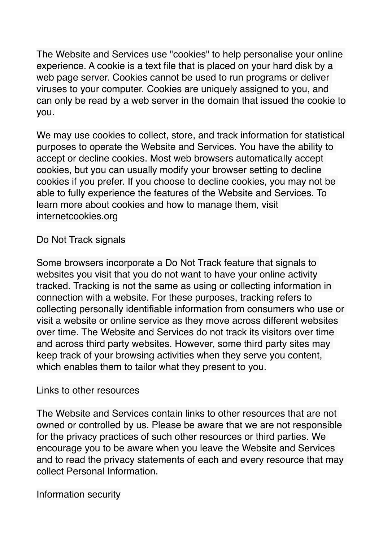The Website and Services use "cookies" to help personalise your online experience. A cookie is a text file that is placed on your hard disk by a web page server. Cookies cannot be used to run programs or deliver viruses to your computer. Cookies are uniquely assigned to you, and can only be read by a web server in the domain that issued the cookie to you.

We may use cookies to collect, store, and track information for statistical purposes to operate the Website and Services. You have the ability to accept or decline cookies. Most web browsers automatically accept cookies, but you can usually modify your browser setting to decline cookies if you prefer. If you choose to decline cookies, you may not be able to fully experience the features of the Website and Services. To learn more about cookies and how to manage them, visit internetcookies.org

Do Not Track signals

Some browsers incorporate a Do Not Track feature that signals to websites you visit that you do not want to have your online activity tracked. Tracking is not the same as using or collecting information in connection with a website. For these purposes, tracking refers to collecting personally identifiable information from consumers who use or visit a website or online service as they move across different websites over time. The Website and Services do not track its visitors over time and across third party websites. However, some third party sites may keep track of your browsing activities when they serve you content, which enables them to tailor what they present to you.

### Links to other resources

The Website and Services contain links to other resources that are not owned or controlled by us. Please be aware that we are not responsible for the privacy practices of such other resources or third parties. We encourage you to be aware when you leave the Website and Services and to read the privacy statements of each and every resource that may collect Personal Information.

Information security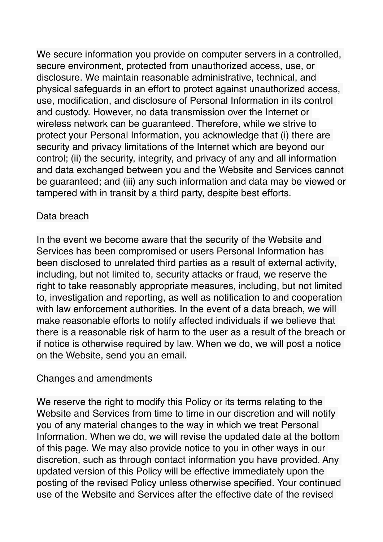We secure information you provide on computer servers in a controlled, secure environment, protected from unauthorized access, use, or disclosure. We maintain reasonable administrative, technical, and physical safeguards in an effort to protect against unauthorized access, use, modification, and disclosure of Personal Information in its control and custody. However, no data transmission over the Internet or wireless network can be guaranteed. Therefore, while we strive to protect your Personal Information, you acknowledge that (i) there are security and privacy limitations of the Internet which are beyond our control; (ii) the security, integrity, and privacy of any and all information and data exchanged between you and the Website and Services cannot be guaranteed; and (iii) any such information and data may be viewed or tampered with in transit by a third party, despite best efforts.

## Data breach

In the event we become aware that the security of the Website and Services has been compromised or users Personal Information has been disclosed to unrelated third parties as a result of external activity, including, but not limited to, security attacks or fraud, we reserve the right to take reasonably appropriate measures, including, but not limited to, investigation and reporting, as well as notification to and cooperation with law enforcement authorities. In the event of a data breach, we will make reasonable efforts to notify affected individuals if we believe that there is a reasonable risk of harm to the user as a result of the breach or if notice is otherwise required by law. When we do, we will post a notice on the Website, send you an email.

### Changes and amendments

We reserve the right to modify this Policy or its terms relating to the Website and Services from time to time in our discretion and will notify you of any material changes to the way in which we treat Personal Information. When we do, we will revise the updated date at the bottom of this page. We may also provide notice to you in other ways in our discretion, such as through contact information you have provided. Any updated version of this Policy will be effective immediately upon the posting of the revised Policy unless otherwise specified. Your continued use of the Website and Services after the effective date of the revised